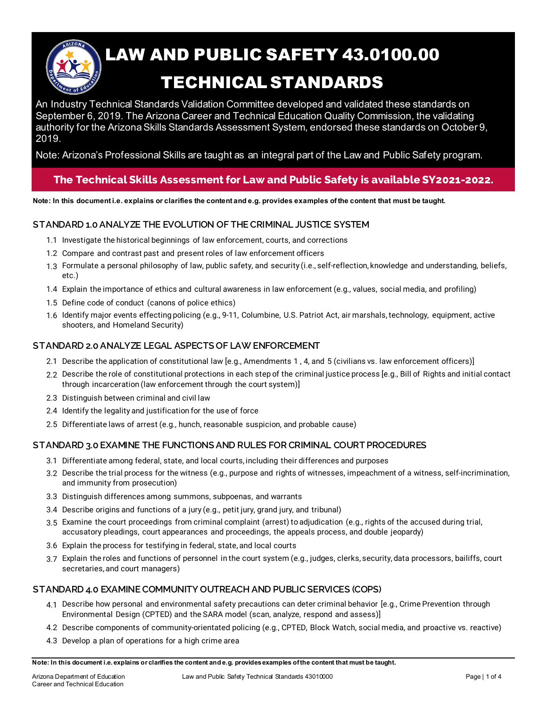

# LAW AND PUBLIC SAFETY 43.0100.00 TECHNICAL STANDARDS

An Industry Technical Standards Validation Committee developed and validated these standards on September 6, 2019. The Arizona Career and Technical Education Quality Commission, the validating authority for the Arizona Skills Standards Assessment System, endorsed these standards on October 9, 2019.

Note: Arizona's Professional Skills are taught as an integral part of the Law and Public Safety program.

## **The Technical Skills Assessment for Law and Public Safety is available SY2021-2022.**

**Note: In this document i.e. explains or clarifies the content and e.g. provides examples of the content that must be taught.**

### **STANDARD 1.0ANALYZE THE EVOLUTION OF THE CRIMINAL JUSTICE SYSTEM**

- 1.1 Investigate the historical beginnings of law enforcement, courts, and corrections
- 1.2 Compare and contrast past and present roles of law enforcement officers
- 1.3 Formulate a personal philosophy of law, public safety, and security (i.e., self-reflection, knowledge and understanding, beliefs, etc.)
- 1.4 Explain the importance of ethics and cultural awareness in law enforcement (e.g., values, social media, and profiling)
- 1.5 Define code of conduct (canons of police ethics)
- 1.6 Identify major events effecting policing (e.g., 9-11, Columbine, U.S. Patriot Act, air marshals, technology, equipment, active shooters, and Homeland Security)

#### **STANDARD 2.0ANALYZE LEGAL ASPECTS OF LAW ENFORCEMENT**

- 2.1 Describe the application of constitutional law [e.g., Amendments 1 , 4, and 5 (civilians vs. law enforcement officers)]
- 2.2 Describe the role of constitutional protections in each step of the criminal justice process [e.g., Bill of Rights and initial contact through incarceration (law enforcement through the court system)]
- 2.3 Distinguish between criminal and civil law
- 2.4 Identify the legality and justification for the use of force
- 2.5 Differentiate laws of arrest (e.g., hunch, reasonable suspicion, and probable cause)

### **STANDARD 3.0 EXAMINE THE FUNCTIONS AND RULES FOR CRIMINAL COURT PROCEDURES**

- 3.1 Differentiate among federal, state, and local courts, including their differences and purposes
- 3.2 Describe the trial process for the witness (e.g., purpose and rights of witnesses, impeachment of a witness, self-incrimination, and immunity from prosecution)
- 3.3 Distinguish differences among summons, subpoenas, and warrants
- 3.4 Describe origins and functions of a jury (e.g., petit jury, grand jury, and tribunal)
- 3.5 Examine the court proceedings from criminal complaint (arrest) to adjudication (e.g., rights of the accused during trial, accusatory pleadings, court appearances and proceedings, the appeals process, and double jeopardy)
- 3.6 Explain the process for testifying in federal, state, and local courts
- 3.7 Explain the roles and functions of personnel in the court system (e.g., judges, clerks, security, data processors, bailiffs, court secretaries, and court managers)

### **STANDARD 4.0 EXAMINE COMMUNITY OUTREACH AND PUBLIC SERVICES (COPS)**

- 4.1 Describe how personal and environmental safety precautions can deter criminal behavior [e.g., Crime Prevention through Environmental Design (CPTED) and the SARA model (scan, analyze, respond and assess)]
- 4.2 Describe components of community-orientated policing (e.g., CPTED, Block Watch, social media, and proactive vs. reactive)
- 4.3 Develop a plan of operations for a high crime area

**Note: In this document i.e. explains or clarifies the content and e.g. provides examples of the content that must be taught.**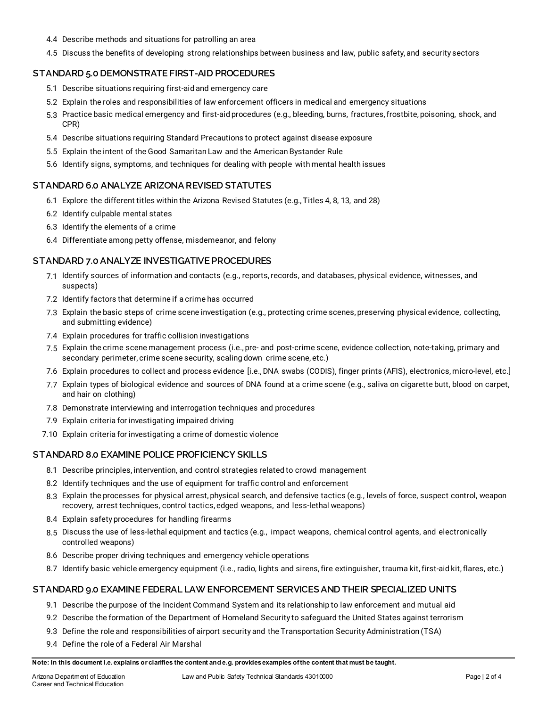- 4.4 Describe methods and situations for patrolling an area
- 4.5 Discuss the benefits of developing strong relationships between business and law, public safety, and security sectors

#### **STANDARD 5.0 DEMONSTRATE FIRST-AID PROCEDURES**

- 5.1 Describe situations requiring first-aid and emergency care
- 5.2 Explain the roles and responsibilities of law enforcement officers in medical and emergency situations
- 5.3 Practice basic medical emergency and first-aid procedures (e.g., bleeding, burns, fractures, frostbite, poisoning, shock, and CPR)
- 5.4 Describe situations requiring Standard Precautions to protect against disease exposure
- 5.5 Explain the intent of the Good Samaritan Law and the American Bystander Rule
- 5.6 Identify signs, symptoms, and techniques for dealing with people with mental health issues

#### **STANDARD 6.0 ANALYZE ARIZONA REVISED STATUTES**

- 6.1 Explore the different titles within the Arizona Revised Statutes (e.g., Titles 4, 8, 13, and 28)
- 6.2 Identify culpable mental states
- 6.3 Identify the elements of a crime
- 6.4 Differentiate among petty offense, misdemeanor, and felony

#### **STANDARD 7.0 ANALYZE INVESTIGATIVE PROCEDURES**

- 7.1 Identify sources of information and contacts (e.g., reports, records, and databases, physical evidence, witnesses, and suspects)
- 7.2 Identify factors that determine if a crime has occurred
- 7.3 Explain the basic steps of crime scene investigation (e.g., protecting crime scenes, preserving physical evidence, collecting, and submitting evidence)
- 7.4 Explain procedures for traffic collision investigations
- 7.5 Explain the crime scene management process (i.e., pre- and post-crime scene, evidence collection, note-taking, primary and secondary perimeter, crime scene security, scaling down crime scene, etc.)
- 7.6 Explain procedures to collect and process evidence [i.e., DNA swabs (CODIS), finger prints (AFIS), electronics, micro-level, etc.]
- 7.7 Explain types of biological evidence and sources of DNA found at a crime scene (e.g., saliva on cigarette butt, blood on carpet, and hair on clothing)
- 7.8 Demonstrate interviewing and interrogation techniques and procedures
- 7.9 Explain criteria for investigating impaired driving
- 7.10 Explain criteria for investigating a crime of domestic violence

#### **STANDARD 8.0 EXAMINE POLICE PROFICIENCY SKILLS**

- 8.1 Describe principles, intervention, and control strategies related to crowd management
- 8.2 Identify techniques and the use of equipment for traffic control and enforcement
- 8.3 Explain the processes for physical arrest, physical search, and defensive tactics (e.g., levels of force, suspect control, weapon recovery, arrest techniques, control tactics, edged weapons, and less-lethal weapons)
- 8.4 Explain safety procedures for handling firearms
- 8.5 Discuss the use of less-lethal equipment and tactics (e.g., impact weapons, chemical control agents, and electronically controlled weapons)
- 8.6 Describe proper driving techniques and emergency vehicle operations
- 8.7 Identify basic vehicle emergency equipment (i.e., radio, lights and sirens, fire extinguisher, trauma kit, first-aid kit, flares, etc.)

#### **STANDARD 9.0 EXAMINE FEDERAL LAW ENFORCEMENT SERVICES AND THEIR SPECIALIZED UNITS**

- 9.1 Describe the purpose of the Incident Command System and its relationship to law enforcement and mutual aid
- 9.2 Describe the formation of the Department of Homeland Security to safeguard the United States against terrorism
- 9.3 Define the role and responsibilities of airport security and the Transportation Security Administration (TSA)
- 9.4 Define the role of a Federal Air Marshal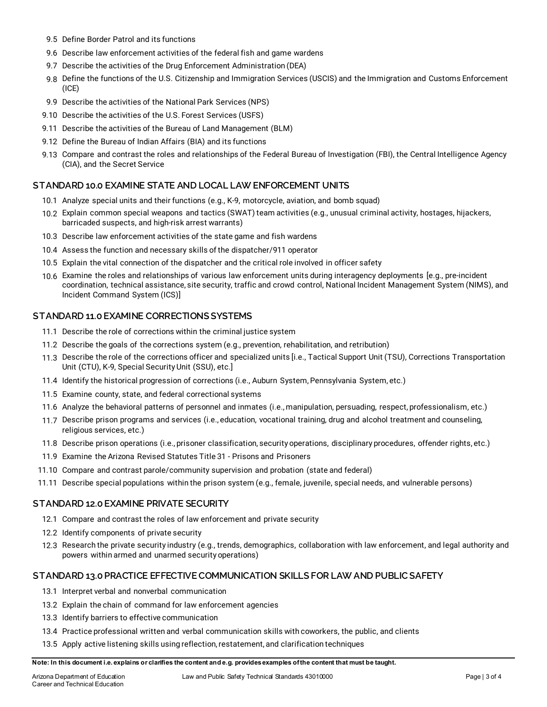- 9.5 Define Border Patrol and its functions
- 9.6 Describe law enforcement activities of the federal fish and game wardens
- 9.7 Describe the activities of the Drug Enforcement Administration (DEA)
- 9.8 Define the functions of the U.S. Citizenship and Immigration Services (USCIS) and the Immigration and Customs Enforcement (ICE)
- 9.9 Describe the activities of the National Park Services (NPS)
- 9.10 Describe the activities of the U.S. Forest Services (USFS)
- 9.11 Describe the activities of the Bureau of Land Management (BLM)
- 9.12 Define the Bureau of Indian Affairs (BIA) and its functions
- 9.13 Compare and contrast the roles and relationships of the Federal Bureau of Investigation (FBI), the Central Intelligence Agency (CIA), and the Secret Service

#### **STANDARD 10.0 EXAMINE STATE AND LOCAL LAW ENFORCEMENT UNITS**

- 10.1 Analyze special units and their functions (e.g., K-9, motorcycle, aviation, and bomb squad)
- 10.2 Explain common special weapons and tactics (SWAT) team activities (e.g., unusual criminal activity, hostages, hijackers, barricaded suspects, and high-risk arrest warrants)
- 10.3 Describe law enforcement activities of the state game and fish wardens
- 10.4 Assess the function and necessary skills of the dispatcher/911 operator
- 10.5 Explain the vital connection of the dispatcher and the critical role involved in officer safety
- 10.6 Examine the roles and relationships of various law enforcement units during interagency deployments [e.g., pre-incident coordination, technical assistance, site security, traffic and crowd control, National Incident Management System (NIMS), and Incident Command System (ICS)]

#### **STANDARD 11.0 EXAMINE CORRECTIONS SYSTEMS**

- 11.1 Describe the role of corrections within the criminal justice system
- 11.2 Describe the goals of the corrections system (e.g., prevention, rehabilitation, and retribution)
- 11.3 Describe the role of the corrections officer and specialized units [i.e., Tactical Support Unit (TSU), Corrections Transportation Unit (CTU), K-9, Special Security Unit (SSU), etc.]
- 11.4 Identify the historical progression of corrections (i.e., Auburn System, Pennsylvania System, etc.)
- 11.5 Examine county, state, and federal correctional systems
- 11.6 Analyze the behavioral patterns of personnel and inmates (i.e., manipulation, persuading, respect, professionalism, etc.)
- 11.7 Describe prison programs and services (i.e., education, vocational training, drug and alcohol treatment and counseling, religious services, etc.)
- 11.8 Describe prison operations (i.e., prisoner classification, security operations, disciplinary procedures, offender rights, etc.)
- 11.9 Examine the Arizona Revised Statutes Title 31 Prisons and Prisoners
- 11.10 Compare and contrast parole/community supervision and probation (state and federal)
- 11.11 Describe special populations within the prison system (e.g., female, juvenile, special needs, and vulnerable persons)

#### **STANDARD 12.0 EXAMINE PRIVATE SECURITY**

- 12.1 Compare and contrast the roles of law enforcement and private security
- 12.2 Identify components of private security
- 12.3 Research the private security industry (e.g., trends, demographics, collaboration with law enforcement, and legal authority and powers within armed and unarmed security operations)

#### **STANDARD 13.0 PRACTICE EFFECTIVE COMMUNICATION SKILLS FOR LAW AND PUBLIC SAFETY**

- 13.1 Interpret verbal and nonverbal communication
- 13.2 Explain the chain of command for law enforcement agencies
- 13.3 Identify barriers to effective communication
- 13.4 Practice professional written and verbal communication skills with coworkers, the public, and clients
- 13.5 Apply active listening skills using reflection, restatement, and clarification techniques

#### **Note: In this document i.e. explains or clarifies the content and e.g. provides examples of the content that must be taught.**